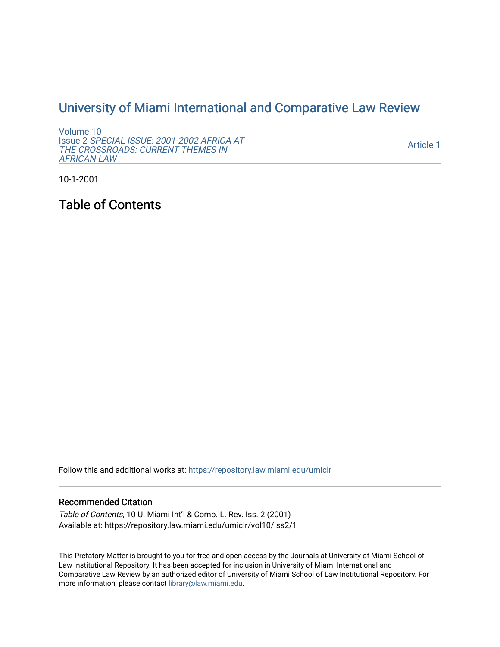## [University of Miami International and Comparative Law Review](https://repository.law.miami.edu/umiclr)

[Volume 10](https://repository.law.miami.edu/umiclr/vol10) Issue 2 [SPECIAL ISSUE: 2001-2002 AFRICA AT](https://repository.law.miami.edu/umiclr/vol10/iss2)  [THE CROSSROADS: CURRENT THEMES IN](https://repository.law.miami.edu/umiclr/vol10/iss2) [AFRICAN LAW](https://repository.law.miami.edu/umiclr/vol10/iss2) 

[Article 1](https://repository.law.miami.edu/umiclr/vol10/iss2/1) 

10-1-2001

Table of Contents

Follow this and additional works at: [https://repository.law.miami.edu/umiclr](https://repository.law.miami.edu/umiclr?utm_source=repository.law.miami.edu%2Fumiclr%2Fvol10%2Fiss2%2F1&utm_medium=PDF&utm_campaign=PDFCoverPages)

## Recommended Citation

Table of Contents, 10 U. Miami Int'l & Comp. L. Rev. Iss. 2 (2001) Available at: https://repository.law.miami.edu/umiclr/vol10/iss2/1

This Prefatory Matter is brought to you for free and open access by the Journals at University of Miami School of Law Institutional Repository. It has been accepted for inclusion in University of Miami International and Comparative Law Review by an authorized editor of University of Miami School of Law Institutional Repository. For more information, please contact [library@law.miami.edu](mailto:library@law.miami.edu).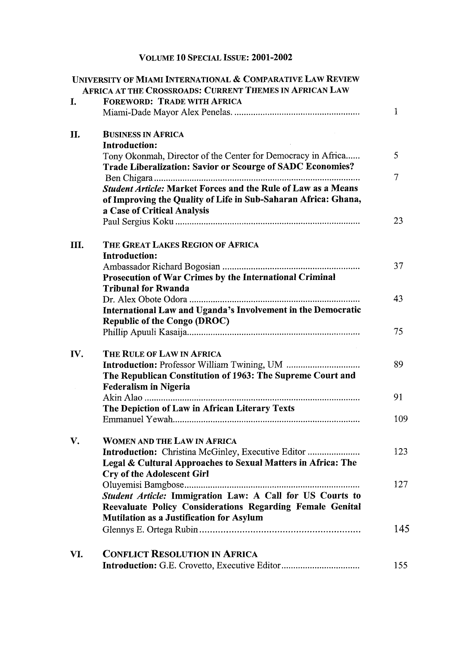## VOLUME 10 SPECIAL ISSUE: 2001-2002

|     | UNIVERSITY OF MIAMI INTERNATIONAL & COMPARATIVE LAW REVIEW           |     |
|-----|----------------------------------------------------------------------|-----|
|     | <b>AFRICA AT THE CROSSROADS: CURRENT THEMES IN AFRICAN LAW</b>       |     |
| I.  | <b>FOREWORD: TRADE WITH AFRICA</b>                                   |     |
|     |                                                                      | 1   |
| П.  | <b>BUSINESS IN AFRICA</b>                                            |     |
|     | <b>Introduction:</b>                                                 |     |
|     | Tony Okonmah, Director of the Center for Democracy in Africa         | 5   |
|     | Trade Liberalization: Savior or Scourge of SADC Economies?           |     |
|     |                                                                      | 7   |
|     | <b>Student Article: Market Forces and the Rule of Law as a Means</b> |     |
|     | of Improving the Quality of Life in Sub-Saharan Africa: Ghana,       |     |
|     | a Case of Critical Analysis                                          |     |
|     |                                                                      | 23  |
| Ш.  | THE GREAT LAKES REGION OF AFRICA                                     |     |
|     | Introduction:                                                        |     |
|     |                                                                      | 37  |
|     | Prosecution of War Crimes by the International Criminal              |     |
|     | <b>Tribunal for Rwanda</b>                                           |     |
|     |                                                                      | 43  |
|     | International Law and Uganda's Involvement in the Democratic         |     |
|     | <b>Republic of the Congo (DROC)</b>                                  |     |
|     |                                                                      | 75  |
| IV. | THE RULE OF LAW IN AFRICA                                            |     |
|     |                                                                      | 89  |
|     | The Republican Constitution of 1963: The Supreme Court and           |     |
|     | <b>Federalism in Nigeria</b>                                         |     |
|     |                                                                      | 91  |
|     | The Depiction of Law in African Literary Texts                       |     |
|     |                                                                      | 109 |
| V.  | <b>WOMEN AND THE LAW IN AFRICA</b>                                   |     |
|     | Introduction: Christina McGinley, Executive Editor                   | 123 |
|     | Legal & Cultural Approaches to Sexual Matters in Africa: The         |     |
|     | <b>Cry of the Adolescent Girl</b>                                    |     |
|     |                                                                      | 127 |
|     | Student Article: Immigration Law: A Call for US Courts to            |     |
|     | Reevaluate Policy Considerations Regarding Female Genital            |     |
|     | <b>Mutilation as a Justification for Asylum</b>                      |     |
|     |                                                                      | 145 |
|     |                                                                      |     |
| VI. | <b>CONFLICT RESOLUTION IN AFRICA</b>                                 |     |
|     |                                                                      | 155 |